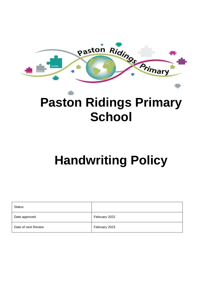

## **Paston Ridings Primary School**

# **Handwriting Policy**

| <b>Status</b>       |               |
|---------------------|---------------|
| Date approved       | February 2022 |
| Date of next Review | February 2023 |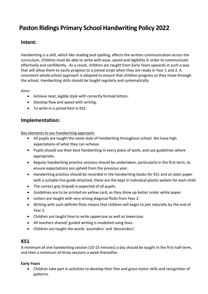## **Paston Ridings Primary School Handwriting Policy 2022**

### **Intent:**

Handwriting is a skill, which like reading and spelling, affects the written communication across the curriculum. Children must be able to write with ease, speed and legibility in order to communicate effectively and confidently. As a result, children are taught from Early Years upwards in such a way that will allow them to easily progress to a joined script when they are ready in Year 1 and 2. A consistent whole school approach is adopted to ensure that children progress as they move through the school. Handwriting skills should be taught regularly and systematically.

Aims:

- Achieve neat, legible style with correctly formed letters.
- Develop flow and speed with writing.
- To write in a joined font in KS2.

## **Implementation:**

Key elements to our handwriting approach:

- All pupils are taught the same style of handwriting throughout school. We have high expectations of what they can achieve.
- Pupils should use their best handwriting in every piece of work, and use guidelines where appropriate.
- Regular handwriting practice sessions should be undertaken, particularly in the first term, to ensure expectations are upheld from the previous year.
- Handwriting practice should be recorded in the handwriting books for KS1 and on plain paper with a suitable line guide attached, these are the kept in individual plastic wallets for each child.
- The correct grip (tripod) is expected of all pupils.
- Guidelines are to be printed on yellow card, as they show up better under white paper.
- Letters are taught with very strong diagonal flicks from Year 2.
- Writing with such definite flicks means that children will begin to join naturally by the end of Year 2.
- Children are taught how to write uppercase as well as lowercase.
- All teachers shared/ guided writing is modelled using lines.
- Children are taught the words 'ascenders' and 'descenders'.

## **KS1**

A minimum of one handwriting session (10-15 minutes) a day should be taught in the first half-term, and then a minimum of three sessions a week thereafter.

#### **Early Years**

 Children take part in activities to develop their fine and gross motor skills and recognition of patterns.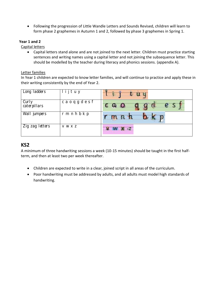Following the progression of Little Wandle Letters and Sounds Revised, children will learn to form phase 2 graphemes in Autumn 1 and 2, followed by phase 3 graphemes in Spring 1.

#### **Year 1 and 2**

Capital letters

 Capital letters stand alone and are not joined to the next letter. Children must practice starting sentences and writing names using a capital letter and not joining the subsequence letter. This should be modelled by the teacher during literacy and phonics sessions. (appendix A).

#### Letter families

In Year 1 children are expected to know letter families, and will continue to practice and apply these in their writing consistently by the end of Year 2.

| Long ladders          | ijtuy     | €U       |
|-----------------------|-----------|----------|
| Curly<br>caterpillars | caoqgdesf | e s<br>a |
| Wall jumpers          | rmnhbkp   |          |
| Zig zag letters       | V W X Z   |          |

## **KS2**

A minimum of three handwriting sessions a week (10-15 minutes) should be taught in the first halfterm, and then at least two per week thereafter.

- Children are expected to write in a clear, joined script in all areas of the curriculum.
- Poor handwriting must be addressed by adults, and all adults must model high standards of handwriting.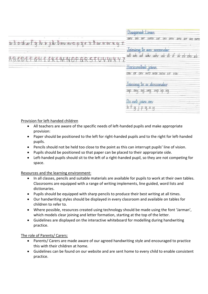|                | Jugaronay Lines                                                                                             |
|----------------|-------------------------------------------------------------------------------------------------------------|
| $-1.011$<br>18 | W<br><b>UWV</b><br>W<br>WYY<br>WV WW<br>w<br>XAV.<br><b>XN</b><br>US UMY<br>$-4.1$<br>- 10                  |
| CASH CALLS     | $-11.14$<br>Jamma<br><b>KO BAAY BASERARDER</b><br>W WO<br>$\alpha$<br><b>WR/</b><br><b>LANV</b><br>mm<br>πv |
|                | $-2$<br>HOMZAMMAN IOMS<br>Car<br>ow or on wo wa ww vr<br>vw                                                 |
|                | <b>Call Card</b><br>JOUNNAIR KT EN ERSCHMARK<br>$-1.41$<br>$M$ $M$<br>up you<br><b>M</b><br>au<br>1,417     |
|                | $4 - 4$<br><b>LOWY OW</b><br><b>MOLA</b><br>Tπ<br>$\rightarrow$                                             |

Provision for left-handed children

- All teachers are aware of the specific needs of left-handed pupils and make appropriate provision:
- Paper should be positioned to the left for right-handed pupils and to the right for left-handed pupils.
- Pencils should not be held too close to the point as this can interrupt pupils' line of vision.
- Pupils should be positioned so that paper can be placed to their appropriate side.
- Left-handed pupils should sit to the left of a right-handed pupil, so they are not competing for space.

#### Resources and the learning environment:

- In all classes, pencils and suitable materials are available for pupils to work at their own tables. Classrooms are equipped with a range of writing implements, line guided, word lists and dictionaries.
- Pupils should be equipped with sharp pencils to produce their best writing at all times.
- Our handwriting styles should be displayed in every classroom and available on tables for children to refer to.
- Where possible, resources created using technology should be made using the font 'Jarman', which models clear joining and letter formation, starting at the top of the letter.
- Guidelines are displayed on the interactive whiteboard for modelling during handwriting practice.

#### The role of Parents/ Carers:

- Parents/ Carers are made aware of our agreed handwriting style and encouraged to practice this with their children at home.
- Guidelines can be found on our website and are sent home to every child to enable consistent practice.